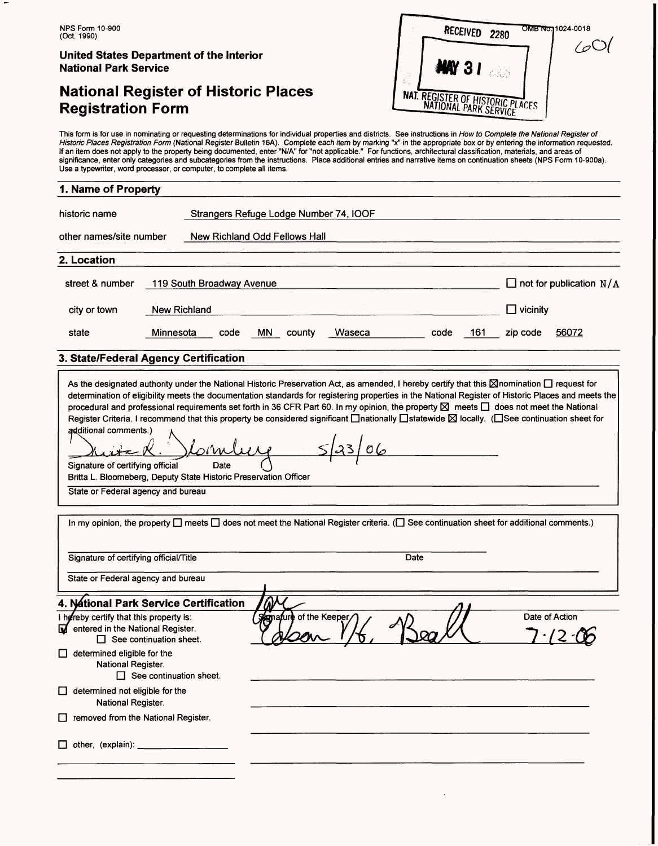# **National Register of Historic Places Registration Form**

| RECEIVED<br>2280                 | OMB No.1024-0018 |
|----------------------------------|------------------|
| <b>MAY 31</b>                    |                  |
| NAT. REGISTER OF HISTORIC PLACES |                  |

This form is for use in nominating or requesting determinations for individual properties and districts. See instructions in *How to Complete the National Register of*<br>*Historic Places Registration Form* (National Register If an item does not apply to the property being documented, enter "N/A" for "not applicable." For functions, architectural classification, materials, and areas of significance, enter only categories and subcategories from the instructions. Place additional entries and narrative items on continuation sheets (NPS Form 10-900a). Use a typewriter, word processor, or computer, to complete all items.

## **1. Name of Property**

| historic name                                                                                                                                                                                                                                                                                                                                                                                                                                                                                                                                                                                                                                                                                                                                                                                          |                           |  | Strangers Refuge Lodge Number 74, IOOF |     |                               |        |      |     |              |                                  |
|--------------------------------------------------------------------------------------------------------------------------------------------------------------------------------------------------------------------------------------------------------------------------------------------------------------------------------------------------------------------------------------------------------------------------------------------------------------------------------------------------------------------------------------------------------------------------------------------------------------------------------------------------------------------------------------------------------------------------------------------------------------------------------------------------------|---------------------------|--|----------------------------------------|-----|-------------------------------|--------|------|-----|--------------|----------------------------------|
| other names/site number                                                                                                                                                                                                                                                                                                                                                                                                                                                                                                                                                                                                                                                                                                                                                                                |                           |  |                                        |     | New Richland Odd Fellows Hall |        |      |     |              |                                  |
| 2. Location                                                                                                                                                                                                                                                                                                                                                                                                                                                                                                                                                                                                                                                                                                                                                                                            |                           |  |                                        |     |                               |        |      |     |              |                                  |
| street & number                                                                                                                                                                                                                                                                                                                                                                                                                                                                                                                                                                                                                                                                                                                                                                                        | 119 South Broadway Avenue |  |                                        |     |                               |        |      |     |              | $\Box$ not for publication $N/A$ |
| city or town                                                                                                                                                                                                                                                                                                                                                                                                                                                                                                                                                                                                                                                                                                                                                                                           | New Richland              |  |                                        |     |                               |        |      |     | __l vicinitv |                                  |
| state                                                                                                                                                                                                                                                                                                                                                                                                                                                                                                                                                                                                                                                                                                                                                                                                  | Minnesota                 |  | code                                   | MN. | county                        | Waseca | code | 161 | zip code     | 56072                            |
| 3. State/Federal Agency Certification                                                                                                                                                                                                                                                                                                                                                                                                                                                                                                                                                                                                                                                                                                                                                                  |                           |  |                                        |     |                               |        |      |     |              |                                  |
| As the designated authority under the National Historic Preservation Act, as amended, I hereby certify that this $\boxtimes$ nomination $\Box$ request for<br>determination of eligibility meets the documentation standards for registering properties in the National Register of Historic Places and meets the<br>procedural and professional requirements set forth in 36 CFR Part 60. In my opinion, the property $\boxtimes$ meets $\Box$ does not meet the National<br>Register Criteria. I recommend that this property be considered significant <b>Inationally Istatewide ⊠</b> locally. (ISee continuation sheet for<br>additional comments.)<br>Signature of certifying official<br>Britta L. Bloomeberg, Deputy State Historic Preservation Officer<br>State or Federal agency and bureau | –                         |  | Date                                   |     |                               |        |      |     |              |                                  |

In my opinion, the property  $\Box$  meets  $\Box$  does not meet the National Register criteria. ( $\Box$  See continuation sheet for additional comments.) Signature of certifying official/Title **Date** State or Federal agency and bureau **4. National Park Service Certification** I hereby certify that this property is: of the Keeper Date of Action entered in the National Register.  $\overline{\mathbf{M}}$  $\Box$  See continuation sheet.  $\Box$  determined eligible for the National Register.  $\Box$  See continuation sheet. □ determined not eligible for the National Register. D removed from the National Register.  $\Box$  other, (explain):  $\Box$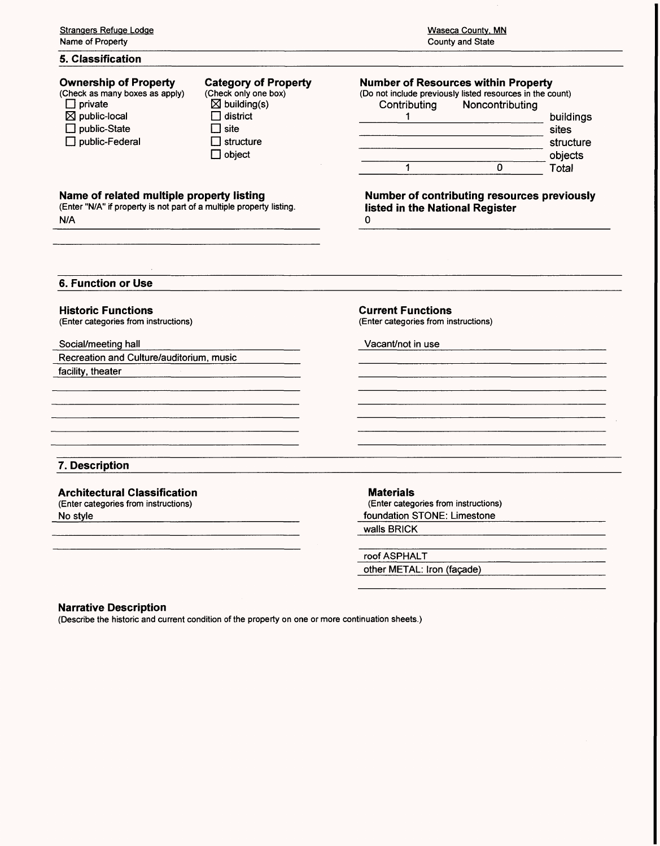## **5. Classification**

| <b>Ownership of Property</b><br>(Check as many boxes as apply)<br>$\Box$ private<br>$\boxtimes$ public-local<br>$\Box$ public-State<br>$\Box$ public-Federal | <b>Category of Property</b><br>(Check only one box)<br>$\boxtimes$ building(s)<br>district<br>l site<br>I structure<br>$\square$ object | Contributing                    | <b>Number of Resources within Property</b><br>(Do not include previously listed resources in the count)<br>Noncontributing<br>0 | build<br>sites<br>struc<br>obje<br>Tota |
|--------------------------------------------------------------------------------------------------------------------------------------------------------------|-----------------------------------------------------------------------------------------------------------------------------------------|---------------------------------|---------------------------------------------------------------------------------------------------------------------------------|-----------------------------------------|
| Name of related multiple property listing<br>(Enter "N/A" if property is not part of a multiple property listing.<br>N/A                                     |                                                                                                                                         | listed in the National Register | <b>Number of contributing resources previc</b>                                                                                  |                                         |
| 6. Function or Use                                                                                                                                           |                                                                                                                                         |                                 |                                                                                                                                 |                                         |

#### **Historic Functions**

(Enter categories from instructions)

#### Social/meeting hall

Recreation and Culture/auditorium, music

facility, theater

#### **Current Functions** (Enter categories from instructions)

Vacant/not in use

## **7. Description**

# **Architectural Classification**

(Enter categories from instructions) No style

#### **Materials**

(Enter categories from instructions) foundation STONE: Limestone

walls BRICK

roof ASPHALT other METAL: Iron (façade)

#### **Narrative Description**

(Describe the historic and current condition of the property on one or more continuation sheets.)

| Contributing | Noncontributing |           |
|--------------|-----------------|-----------|
|              |                 | buildings |
|              |                 | sites     |
|              |                 | structure |
|              |                 | objects   |
|              |                 | Total     |

**Number of contribution**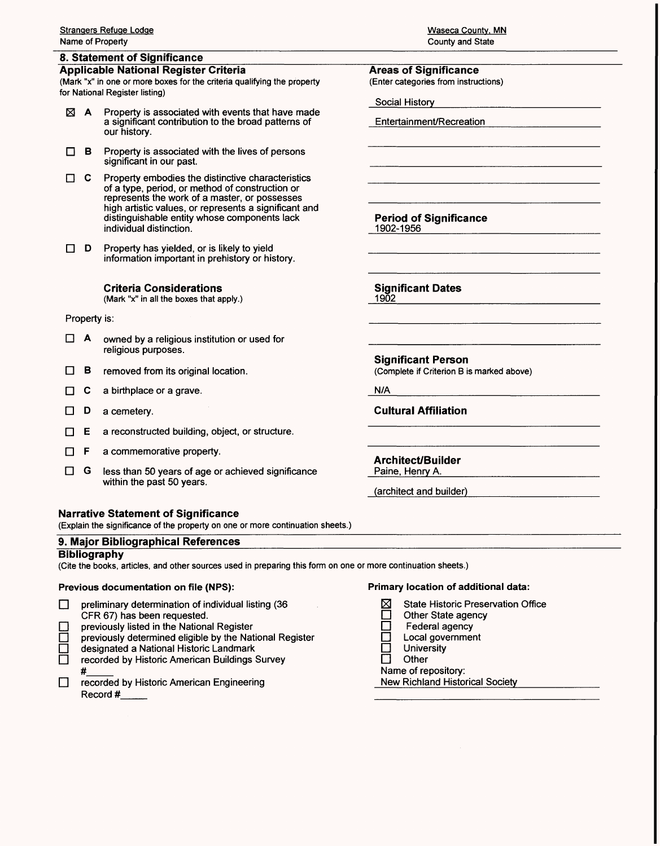## **8. Statement of Significance**

## **Applicable National Register Criteria**

(Mark "x" in one or more boxes for the criteria qualifying the property for National Register listing)

- $\boxtimes$  **A** Property is associated with events that have made a significant contribution to the broad patterns of our history.
- $\Box$  **B** Property is associated with the lives of persons significant in our past.
- $\Box$  C Property embodies the distinctive characteristics of a type, period, or method of construction or represents the work of a master, or possesses high artistic values, or represents a significant and distinguishable entity whose components lack individual distinction.
- $\Box$  **D** Property has yielded, or is likely to yield information important in prehistory or history.

**Criteria Considerations**

(Mark "x" in all the boxes that apply.)

#### Property is:

- $\Box$  **A** owned by a religious institution or used for religious purposes.
- $\Box$  **B** removed from its original location.
- $\Box$  C a birthplace or a grave.
- □ D a cemetery.
- $\Box$  **E** a reconstructed building, object, or structure.
- $\Box$  **F** a commemorative property.
- $\Box$  G less than 50 years of age or achieved significance within the past 50 years.

## **Narrative Statement of Significance**

(Explain the significance of the property on one or more continuation sheets.)

## **9. Major Bibliographical References**

#### **Bibliography**

(Cite the books, articles, and other sources used in preparing this form on one or more continuation sheets.)

## **Previous documentation on file (NPS):**

- $\Box$  preliminary determination of individual listing (36 CFR 67) has been requested.
- previously listed in the National Register
- previously determined eligible by the National Register
- designated a National Historic Landmark
- □ recorded by Historic American Buildings Survey
- #\_\_\_\_\_ D recorded by Historic American Engineering Record #\_\_\_\_\_

| <b>Waseca County, MN</b> |
|--------------------------|
| County and State         |

#### **Areas of Significance** (Enter categories from instructions)

Social History

Entertainment/Recreation

**Period of Significance** 1902-1956

**Significant Dates**

1902

**Significant Person** (Complete if Criterion B is marked above)

N/A**\_\_\_\_\_\_\_\_\_\_\_\_\_\_\_\_\_\_\_\_** 

**Cultural Affiliation**

**Architect/Builder** Paine, Henry A.

**Primary location of additional data:**

- $\boxtimes$  State Historic Preservation Office
- □ Other State agency<br>□ Federal agency
- □ Federal agency<br>□ Local governmer
- □ Local government<br>□ Universitv
- □ University<br>□ Other
- **Other**
- Name of repository:
- New Richland Historical Society\_\_\_\_\_

(architect and builder)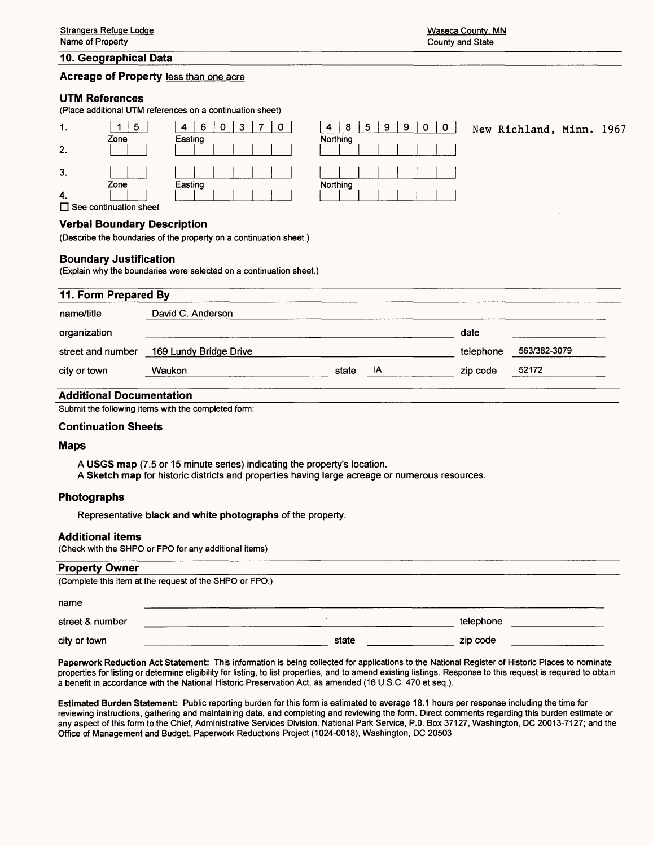#### **10. Geographical Data\_\_\_\_\_\_\_\_\_\_\_\_\_\_\_\_\_\_\_\_\_\_\_\_\_\_\_\_\_\_\_\_\_\_\_\_\_\_\_\_\_\_\_\_\_\_\_\_\_\_**

### **Acreage of Property less than one acre**

#### **UTM References**

(Place additional UTM references on a continuation sheet)

| . .                           | 5                                                  | 6<br>0<br>4<br>U<br>ν | 5<br>8<br>9<br>9<br>4<br>U |
|-------------------------------|----------------------------------------------------|-----------------------|----------------------------|
|                               | Zone                                               | Easting               | Northing                   |
| 2.                            |                                                    |                       |                            |
|                               |                                                    |                       |                            |
| 3.                            |                                                    |                       |                            |
|                               | Zone                                               | Easting               | Northing                   |
| -4.                           |                                                    |                       |                            |
| -<br>$\overline{\phantom{a}}$ | $\sim$ $\sim$<br>$\sim$ $\sim$<br>$\sim$<br>$\sim$ |                       |                            |

 $\Box$  See continuation sheet

#### **Verbal Boundary Description**

(Describe the boundaries of the property on a continuation sheet.)

#### **Boundary Justification**

(Explain why the boundaries were selected on a continuation sheet.)

# 11. Form Prepared By name/title David C. Anderson organization \_\_\_\_\_\_\_\_\_\_\_\_\_\_\_\_\_\_\_\_\_\_\_\_\_\_\_\_\_\_\_\_\_\_\_\_\_\_ date street and number 169 Lundy Bridge Drive and the street and number 169/382-3079 city or town Waukon\_\_\_\_\_\_\_\_\_\_\_\_\_\_\_\_\_ state IA\_\_\_\_\_\_\_\_\_ zip code 52172\_\_\_\_\_

#### **Additional Documentation**

Submit the following items with the completed form:

#### **Continuation Sheets**

#### **Maps**

**A USGS map** (7.5 or 15 minute series) indicating the property's location.

**A Sketch map** for historic districts and properties having large acreage or numerous resources.

#### **Photographs**

Representative **black and white photographs** of the property.

#### **Additional items**

(Check with the SHPO or FPO for any additional items)

#### **Property Owner\_\_\_\_\_\_\_\_\_\_\_\_\_\_\_\_\_\_\_\_\_\_\_\_\_\_\_\_\_\_\_\_\_\_\_\_\_\_\_\_\_\_\_\_\_\_**

| (Complete this item at the request of the SHPO or FPO.) |  |       |           |  |  |  |
|---------------------------------------------------------|--|-------|-----------|--|--|--|
| name                                                    |  |       |           |  |  |  |
| street & number                                         |  |       | telephone |  |  |  |
| city or town                                            |  | state | zip code  |  |  |  |

Paperwork Reduction Act Statement: This information is being collected for applications to the National Register of Historic Places to nominate properties for listing or determine eligibility for listing, to list properties, and to amend existing listings. Response to this request is required to obtain a benefit in accordance with the National Historic Preservation Act, as amended (16 U.S.C. 470 et seq.).

Estimated Burden Statement: Public reporting burden for this form is estimated to average 18.1 hours per response including the time for reviewing instructions, gathering and maintaining data, and completing and reviewing the form. Direct comments regarding this burden estimate or any aspect of this form to the Chief, Administrative Services Division, National Park Service, P.O. Box 37127, Washington, DC 20013-7127; and the Office of Management and Budget, Paperwork Reductions Project (1024-0018), Washington, DC 20503

4 | 8 | 5 | 9 | 9 | 0 | 0 | 0 | New Richland, Minn. 1967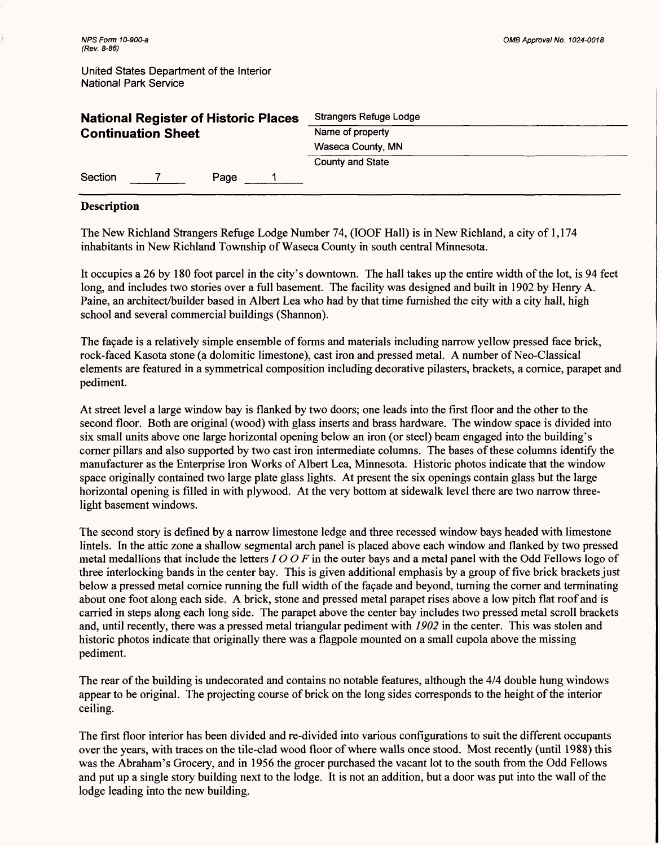| <b>National Register of Historic Places</b> | Strangers Refuge Lodge  |
|---------------------------------------------|-------------------------|
| <b>Continuation Sheet</b>                   | Name of property        |
|                                             | Waseca County, MN       |
|                                             | <b>County and State</b> |
| Section<br>Page                             |                         |

## Description

The New Richland Strangers Refuge Lodge Number 74, (IOOF Hall) is in New Richland, a city of 1,174 inhabitants in New Richland Township of Waseca County in south central Minnesota.

It occupies a 26 by 180 foot parcel in the city's downtown. The hall takes up the entire width of the lot, is 94 feet long, and includes two stories over a full basement. The facility was designed and built in 1902 by Henry A. Paine, an architect/builder based in Albert Lea who had by that time furnished the city with a city hall, high school and several commercial buildings (Shannon).

The facade is a relatively simple ensemble of forms and materials including narrow yellow pressed face brick, rock-faced Kasota stone (a dolomitic limestone), cast iron and pressed metal. A number of Neo-Classical elements are featured in a symmetrical composition including decorative pilasters, brackets, a cornice, parapet and pediment.

At street level a large window bay is flanked by two doors; one leads into the first floor and the other to the second floor. Both are original (wood) with glass inserts and brass hardware. The window space is divided into six small units above one large horizontal opening below an iron (or steel) beam engaged into the building's corner pillars and also supported by two cast iron intermediate columns. The bases of these columns identify the manufacturer as the Enterprise Iron Works of Albert Lea, Minnesota. Historic photos indicate that the window space originally contained two large plate glass lights. At present the six openings contain glass but the large horizontal opening is filled in with plywood. At the very bottom at sidewalk level there are two narrow threelight basement windows.

The second story is defined by a narrow limestone ledge and three recessed window bays headed with limestone lintels. In the attic zone a shallow segmental arch panel is placed above each window and flanked by two pressed metal medallions that include the letters / *O O F* in the outer bays and a metal panel with the Odd Fellows logo of three interlocking bands in the center bay. This is given additional emphasis by a group of five brick brackets just below a pressed metal cornice running the full width of the facade and beyond, turning the corner and terminating about one foot along each side. A brick, stone and pressed metal parapet rises above a low pitch flat roof and is carried in steps along each long side. The parapet above the center bay includes two pressed metal scroll brackets and, until recently, there was a pressed metal triangular pediment with *1902* in the center. This was stolen and historic photos indicate that originally there was a flagpole mounted on a small cupola above the missing pediment.

The rear of the building is undecorated and contains no notable features, although the 4/4 double hung windows appear to be original. The projecting course of brick on the long sides corresponds to the height of the interior ceiling.

The first floor interior has been divided and re-divided into various configurations to suit the different occupants over the years, with traces on the tile-clad wood floor of where walls once stood. Most recently (until 1988) this was the Abraham's Grocery, and in 1956 the grocer purchased the vacant lot to the south from the Odd Fellows and put up a single story building next to the lodge. It is not an addition, but a door was put into the wall of the lodge leading into the new building.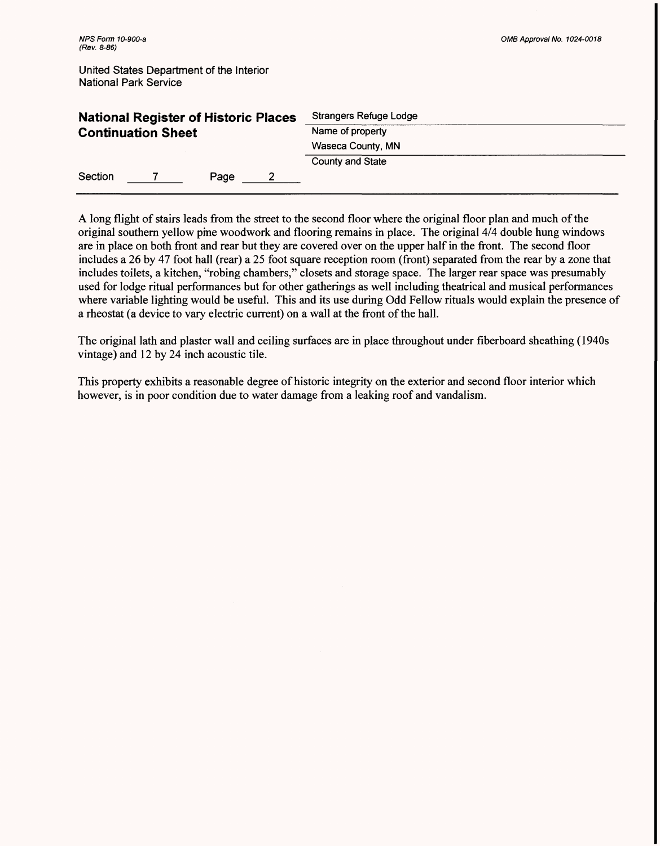|                           | <b>National Register of Historic Places</b> |      | Strangers Refuge Lodge |  |
|---------------------------|---------------------------------------------|------|------------------------|--|
| <b>Continuation Sheet</b> |                                             |      | Name of property       |  |
|                           |                                             |      | Waseca County, MN      |  |
|                           |                                             |      | County and State       |  |
| Section                   |                                             | Page |                        |  |

A long flight of stairs leads from the street to the second floor where the original floor plan and much of the original southern yellow pine woodwork and flooring remains in place. The original 4/4 double hung windows are in place on both front and rear but they are covered over on the upper half in the front. The second floor includes a 26 by 47 foot hall (rear) a 25 foot square reception room (front) separated from the rear by a zone that includes toilets, a kitchen, "robing chambers," closets and storage space. The larger rear space was presumably used for lodge ritual performances but for other gatherings as well including theatrical and musical performances where variable lighting would be useful. This and its use during Odd Fellow rituals would explain the presence of a rheostat (a device to vary electric current) on a wall at the front of the hall.

The original lath and plaster wall and ceiling surfaces are in place throughout under fiberboard sheathing (1940s vintage) and 12 by 24 inch acoustic tile.

This property exhibits a reasonable degree of historic integrity on the exterior and second floor interior which however, is in poor condition due to water damage from a leaking roof and vandalism.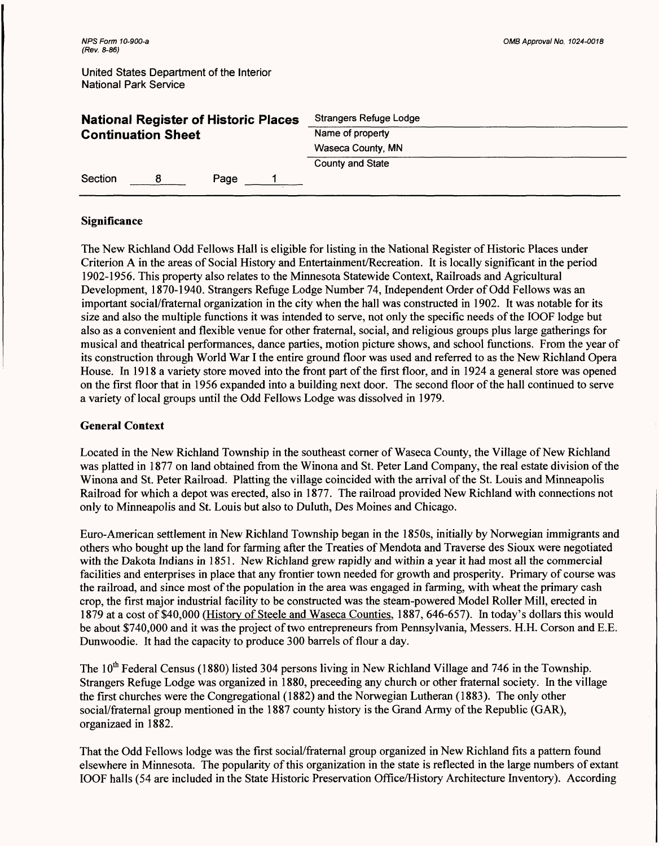| <b>National Register of Historic Places</b> |  |      | Strangers Refuge Lodge |  |
|---------------------------------------------|--|------|------------------------|--|
| <b>Continuation Sheet</b>                   |  |      | Name of property       |  |
|                                             |  |      | Waseca County, MN      |  |
|                                             |  |      | County and State       |  |
| Section                                     |  | Page |                        |  |

## **Significance**

The New Richland Odd Fellows Hall is eligible for listing in the National Register of Historic Places under Criterion A in the areas of Social History and Entertainment/Recreation. It is locally significant in the period 1902-1956. This property also relates to the Minnesota Statewide Context, Railroads and Agricultural Development, 1870-1940. Strangers Refuge Lodge Number 74, Independent Order of Odd Fellows was an important social/fraternal organization in the city when the hall was constructed in 1902. It was notable for its size and also the multiple functions it was intended to serve, not only the specific needs of the IOOF lodge but also as a convenient and flexible venue for other fraternal, social, and religious groups plus large gatherings for musical and theatrical performances, dance parties, motion picture shows, and school functions. From the year of its construction through World War I the entire ground floor was used and referred to as the New Richland Opera House. In 1918 a variety store moved into the front part of the first floor, and in 1924 a general store was opened on the first floor that in 1956 expanded into a building next door. The second floor of the hall continued to serve a variety of local groups until the Odd Fellows Lodge was dissolved in 1979.

## **General Context**

Located in the New Richland Township in the southeast corner of Waseca County, the Village of New Richland was platted in 1877 on land obtained from the Winona and St. Peter Land Company, the real estate division of the Winona and St. Peter Railroad. Platting the village coincided with the arrival of the St. Louis and Minneapolis Railroad for which a depot was erected, also in 1877. The railroad provided New Richland with connections not only to Minneapolis and St. Louis but also to Duluth, Des Moines and Chicago.

Euro-American settlement in New Richland Township began in the 1850s, initially by Norwegian immigrants and others who bought up the land for farming after the Treaties of Mendota and Traverse des Sioux were negotiated with the Dakota Indians in 1851. New Richland grew rapidly and within a year it had most all the commercial facilities and enterprises in place that any frontier town needed for growth and prosperity. Primary of course was the railroad, and since most of the population in the area was engaged in farming, with wheat the primary cash crop, the first major industrial facility to be constructed was the steam-powered Model Roller Mill, erected in 1879 at a cost of \$40,000 (History of Steele and Waseca Counties, 1887, 646-657). In today's dollars this would be about \$740,000 and it was the project of two entrepreneurs from Pennsylvania, Messers. H.H. Corson and E.E. Dunwoodie. It had the capacity to produce 300 barrels of flour a day.

The  $10<sup>th</sup>$  Federal Census (1880) listed 304 persons living in New Richland Village and 746 in the Township. Strangers Refuge Lodge was organized in 1880, preceeding any church or other fraternal society. In the village the first churches were the Congregational (1882) and the Norwegian Lutheran (1883). The only other social/fraternal group mentioned in the 1887 county history is the Grand Army of the Republic (GAR), organizaed in 1882.

That the Odd Fellows lodge was the first social/fraternal group organized in New Richland fits a pattern found elsewhere in Minnesota. The popularity of this organization in the state is reflected in the large numbers of extant IOOF halls (54 are included in the State Historic Preservation Office/History Architecture Inventory). According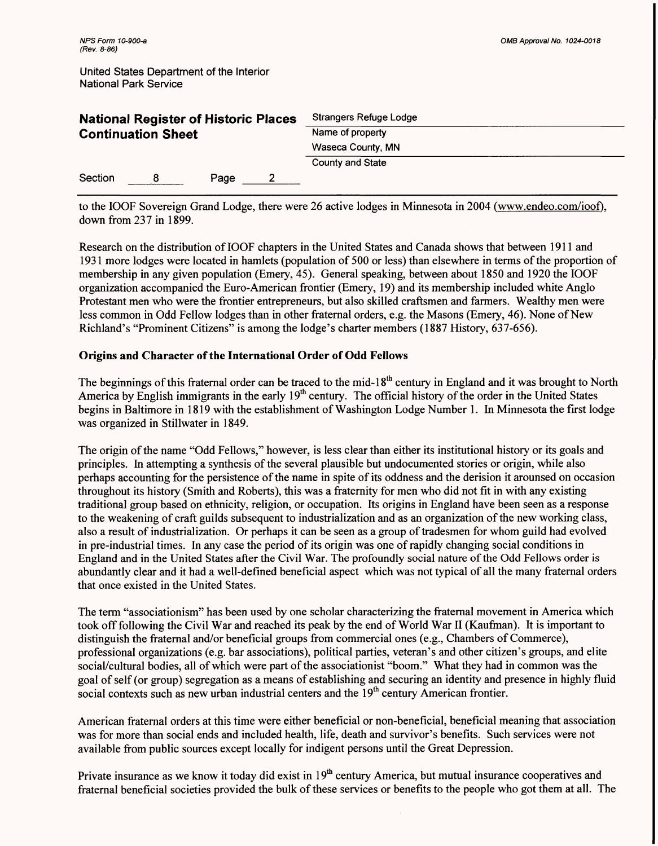| <b>National Register of Historic Places</b> |  |      |  | Strangers Refuge Lodge |  |
|---------------------------------------------|--|------|--|------------------------|--|
| <b>Continuation Sheet</b>                   |  |      |  | Name of property       |  |
|                                             |  |      |  | Waseca County, MN      |  |
|                                             |  |      |  | County and State       |  |
| Section                                     |  | Page |  |                        |  |

to the IOOF Sovereign Grand Lodge, there were 26 active lodges in Minnesota in 2004 (www.endeo.com/ioof). down from 237 in 1899.

Research on the distribution of IOOF chapters in the United States and Canada shows that between 1911 and 1931 more lodges were located in hamlets (population of 500 or less) than elsewhere in terms of the proportion of membership in any given population (Emery, 45). General speaking, between about 1850 and 1920 the IOOF organization accompanied the Euro-American frontier (Emery, 19) and its membership included white Anglo Protestant men who were the frontier entrepreneurs, but also skilled craftsmen and farmers. Wealthy men were less common in Odd Fellow lodges than in other fraternal orders, e.g. the Masons (Emery, 46). None of New Richland's "Prominent Citizens" is among the lodge's charter members (1887 History, 637-656).

## **Origins and Character of the International Order of Odd Fellows**

The beginnings of this fraternal order can be traced to the mid-18<sup>th</sup> century in England and it was brought to North America by English immigrants in the early  $19<sup>th</sup>$  century. The official history of the order in the United States begins in Baltimore in 1819 with the establishment of Washington Lodge Number 1. In Minnesota the first lodge was organized in Stillwater in 1849.

The origin of the name "Odd Fellows," however, is less clear than either its institutional history or its goals and principles. In attempting a synthesis of the several plausible but undocumented stories or origin, while also perhaps accounting for the persistence of the name in spite of its oddness and the derision it arounsed on occasion throughout its history (Smith and Roberts), this was a fraternity for men who did not fit in with any existing traditional group based on ethnicity, religion, or occupation. Its origins in England have been seen as a response to the weakening of craft guilds subsequent to industrialization and as an organization of the new working class, also a result of industrialization. Or perhaps it can be seen as a group of tradesmen for whom guild had evolved in pre-industrial times. In any case the period of its origin was one of rapidly changing social conditions in England and in the United States after the Civil War. The profoundly social nature of the Odd Fellows order is abundantly clear and it had a well-defined beneficial aspect which was not typical of all the many fraternal orders that once existed in the United States.

The term "associationism" has been used by one scholar characterizing the fraternal movement in America which took off following the Civil War and reached its peak by the end of World War II (Kaufman). It is important to distinguish the fraternal and/or beneficial groups from commercial ones (e.g., Chambers of Commerce), professional organizations (e.g. bar associations), political parties, veteran's and other citizen's groups, and elite social/cultural bodies, all of which were part of the associationist "boom." What they had in common was the goal of self (or group) segregation as a means of establishing and securing an identity and presence in highly fluid social contexts such as new urban industrial centers and the  $19<sup>th</sup>$  century American frontier.

American fraternal orders at this time were either beneficial or non-beneficial, beneficial meaning that association was for more than social ends and included health, life, death and survivor's benefits. Such services were not available from public sources except locally for indigent persons until the Great Depression.

Private insurance as we know it today did exist in  $19<sup>th</sup>$  century America, but mutual insurance cooperatives and fraternal beneficial societies provided the bulk of these services or benefits to the people who got them at all. The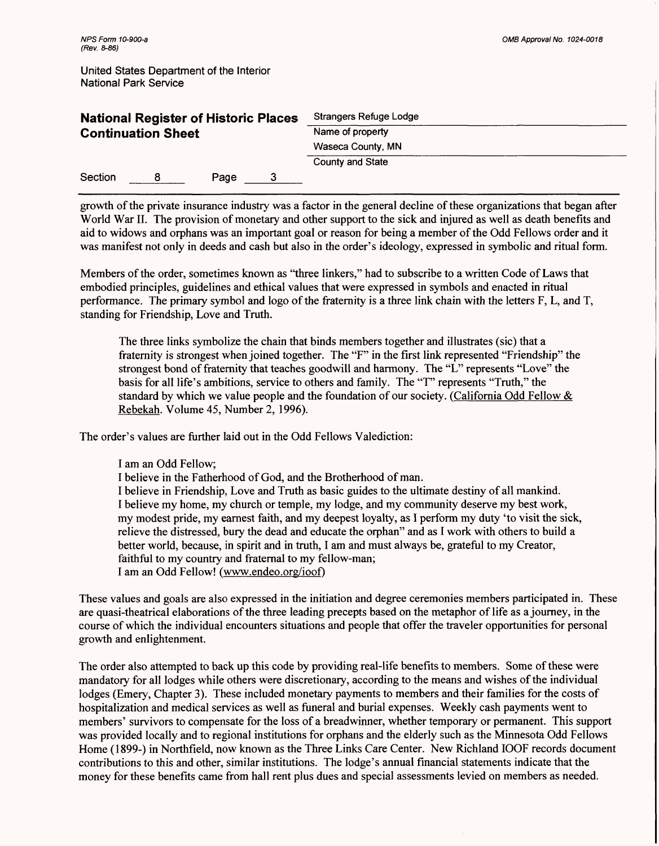| <b>National Register of Historic Places</b> |  |      |  | Strangers Refuge Lodge |  |  |
|---------------------------------------------|--|------|--|------------------------|--|--|
| <b>Continuation Sheet</b>                   |  |      |  | Name of property       |  |  |
|                                             |  |      |  | Waseca County, MN      |  |  |
|                                             |  |      |  | County and State       |  |  |
| Section                                     |  | Page |  |                        |  |  |

growth of the private insurance industry was a factor in the general decline of these organizations that began after World War II. The provision of monetary and other support to the sick and injured as well as death benefits and aid to widows and orphans was an important goal or reason for being a member of the Odd Fellows order and it was manifest not only in deeds and cash but also in the order's ideology, expressed in symbolic and ritual form.

Members of the order, sometimes known as "three linkers," had to subscribe to a written Code of Laws that embodied principles, guidelines and ethical values that were expressed in symbols and enacted in ritual performance. The primary symbol and logo of the fraternity is a three link chain with the letters F, L, and T, standing for Friendship, Love and Truth.

The three links symbolize the chain that binds members together and illustrates (sic) that a fraternity is strongest when joined together. The "F" in the first link represented "Friendship" the strongest bond of fraternity that teaches goodwill and harmony. The "L" represents "Love" the basis for all life's ambitions, service to others and family. The "T" represents "Truth," the standard by which we value people and the foundation of our society. (California Odd Fellow  $\&$ Rebekah. Volume 45, Number 2, 1996).

The order's values are further laid out in the Odd Fellows Valediction:

I am an Odd Fellow;

I believe in the Fatherhood of God, and the Brotherhood of man.

I believe in Friendship, Love and Truth as basic guides to the ultimate destiny of all mankind. I believe my home, my church or temple, my lodge, and my community deserve my best work, my modest pride, my earnest faith, and my deepest loyalty, as I perform my duty 'to visit the sick, relieve the distressed, bury the dead and educate the orphan" and as I work with others to build a better world, because, in spirit and in truth, I am and must always be, grateful to my Creator, faithful to my country and fraternal to my fellow-man; I am an Odd Fellow! (www.endeo.org/ioof)

These values and goals are also expressed in the initiation and degree ceremonies members participated in. These are quasi-theatrical elaborations of the three leading precepts based on the metaphor of life as a journey, in the course of which the individual encounters situations and people that offer the traveler opportunities for personal growth and enlightenment.

The order also attempted to back up this code by providing real-life benefits to members. Some of these were mandatory for all lodges while others were discretionary, according to the means and wishes of the individual lodges (Emery, Chapter 3). These included monetary payments to members and their families for the costs of hospitalization and medical services as well as funeral and burial expenses. Weekly cash payments went to members' survivors to compensate for the loss of a breadwinner, whether temporary or permanent. This support was provided locally and to regional institutions for orphans and the elderly such as the Minnesota Odd Fellows Home (1899-) in Northfield, now known as the Three Links Care Center. New Richland IOOF records document contributions to this and other, similar institutions. The lodge's annual financial statements indicate that the money for these benefits came from hall rent plus dues and special assessments levied on members as needed.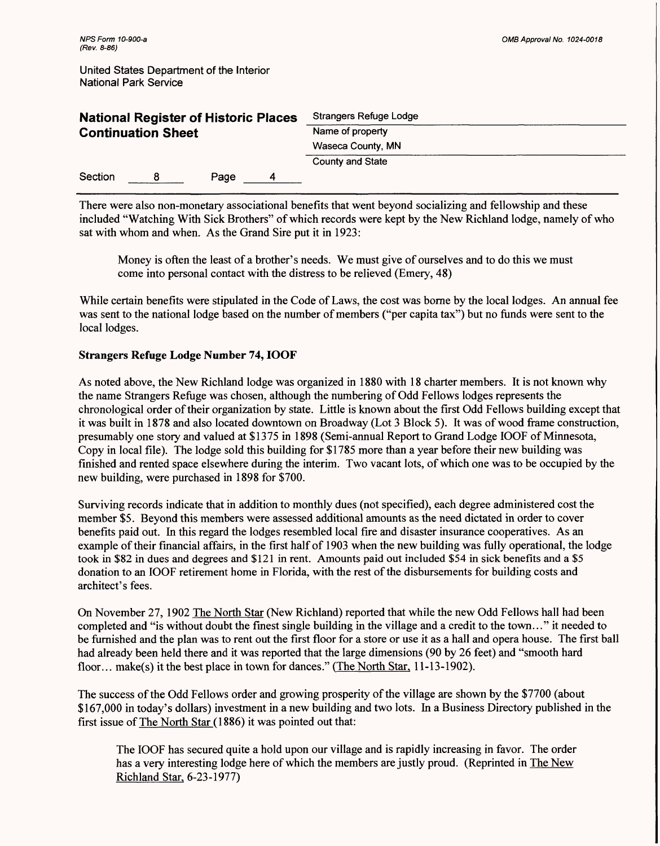| <b>National Register of Historic Places</b> |  |      |   | Strangers Refuge Lodge |  |  |
|---------------------------------------------|--|------|---|------------------------|--|--|
| <b>Continuation Sheet</b>                   |  |      |   | Name of property       |  |  |
|                                             |  |      |   | Waseca County, MN      |  |  |
|                                             |  |      |   | County and State       |  |  |
| Section                                     |  | Page | 4 |                        |  |  |

There were also non-monetary associational benefits that went beyond socializing and fellowship and these included "Watching With Sick Brothers" of which records were kept by the New Richland lodge, namely of who sat with whom and when. As the Grand Sire put it in 1923:

Money is often the least of a brother's needs. We must give of ourselves and to do this we must come into personal contact with the distress to be relieved (Emery, 48)

While certain benefits were stipulated in the Code of Laws, the cost was borne by the local lodges. An annual fee was sent to the national lodge based on the number of members ("per capita tax") but no funds were sent to the local lodges.

# **Strangers Refuge Lodge Number** 74, **IOOF**

As noted above, the New Richland lodge was organized in 1880 with 18 charter members. It is not known why the name Strangers Refuge was chosen, although the numbering of Odd Fellows lodges represents the chronological order of their organization by state. Little is known about the first Odd Fellows building except that it was built in 1878 and also located downtown on Broadway (Lot 3 Block 5). It was of wood frame construction, presumably one story and valued at \$1375 in 1898 (Semi-annual Report to Grand Lodge IOOF of Minnesota, Copy in local file). The lodge sold this building for \$1785 more than a year before their new building was finished and rented space elsewhere during the interim. Two vacant lots, of which one was to be occupied by the new building, were purchased in 1898 for \$700.

Surviving records indicate that in addition to monthly dues (not specified), each degree administered cost the member \$5. Beyond this members were assessed additional amounts as the need dictated in order to cover benefits paid out. In this regard the lodges resembled local fire and disaster insurance cooperatives. As an example of their financial affairs, in the first half of 1903 when the new building was fully operational, the lodge took in \$82 in dues and degrees and \$121 in rent. Amounts paid out included \$54 in sick benefits and a \$5 donation to an IOOF retirement home in Florida, with the rest of the disbursements for building costs and architect's fees.

On November 27, 1902 The North Star (New Richland) reported that while the new Odd Fellows hall had been completed and "is without doubt the finest single building in the village and a credit to the town..." it needed to be furnished and the plan was to rent out the first floor for a store or use it as a hall and opera house. The first ball had already been held there and it was reported that the large dimensions (90 by 26 feet) and "smooth hard floor... make(s) it the best place in town for dances." (The North Star, 11-13-1902).

The success of the Odd Fellows order and growing prosperity of the village are shown by the \$7700 (about \$167,000 in today's dollars) investment in a new building and two lots. In a Business Directory published in the first issue of The North Star (1886) it was pointed out that:

The IOOF has secured quite a hold upon our village and is rapidly increasing in favor. The order has a very interesting lodge here of which the members are justly proud. (Reprinted in The New Richland Star, 6-23-1977)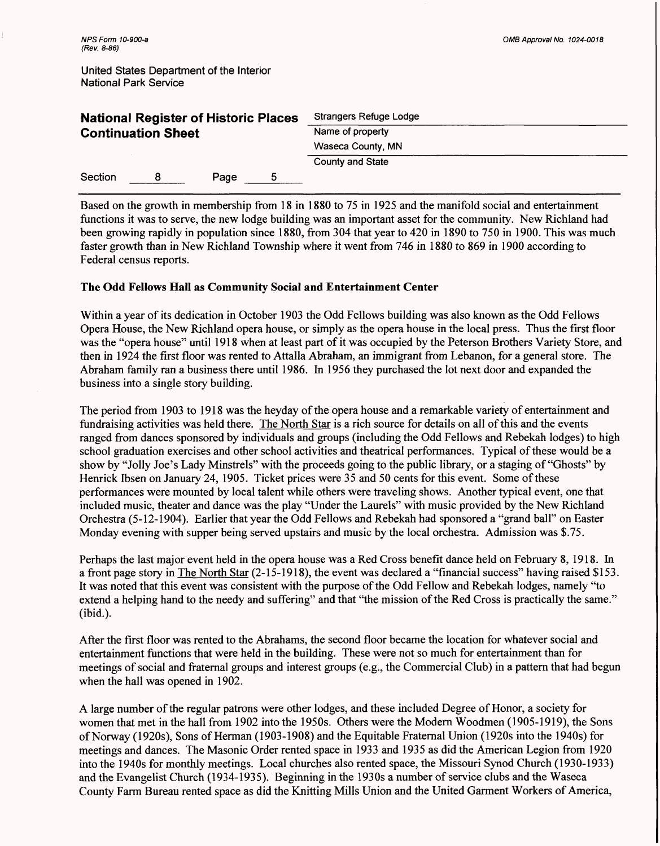| <b>National Register of Historic Places</b> |                           |      | Strangers Refuge Lodge |  |  |
|---------------------------------------------|---------------------------|------|------------------------|--|--|
|                                             | <b>Continuation Sheet</b> |      | Name of property       |  |  |
|                                             |                           |      | Waseca County, MN      |  |  |
|                                             |                           |      | County and State       |  |  |
| Section                                     |                           | Page |                        |  |  |

Based on the growth in membership from 18 in 1880 to 75 in 1925 and the manifold social and entertainment functions it was to serve, the new lodge building was an important asset for the community. New Richland had been growing rapidly in population since 1880, from 304 that year to 420 in 1890 to 750 in 1900. This was much faster growth than in New Richland Township where it went from 746 in 1880 to 869 in 1900 according to Federal census reports.

## **The Odd Fellows Hall as Community Social and Entertainment Center**

Within a year of its dedication in October 1903 the Odd Fellows building was also known as the Odd Fellows Opera House, the New Richland opera house, or simply as the opera house in the local press. Thus the first floor was the "opera house" until 1918 when at least part of it was occupied by the Peterson Brothers Variety Store, and then in 1924 the first floor was rented to Attalla Abraham, an immigrant from Lebanon, for a general store. The Abraham family ran a business there until 1986. In 1956 they purchased the lot next door and expanded the business into a single story building.

The period from 1903 to 1918 was the heyday of the opera house and a remarkable variety of entertainment and fundraising activities was held there. The North Star is a rich source for details on all of this and the events ranged from dances sponsored by individuals and groups (including the Odd Fellows and Rebekah lodges) to high school graduation exercises and other school activities and theatrical performances. Typical of these would be a show by "Jolly Joe's Lady Minstrels" with the proceeds going to the public library, or a staging of "Ghosts" by Henrick Ibsen on January 24, 1905. Ticket prices were 35 and 50 cents for this event. Some of these performances were mounted by local talent while others were traveling shows. Another typical event, one that included music, theater and dance was the play "Under the Laurels" with music provided by the New Richland Orchestra (5-12-1904). Earlier that year the Odd Fellows and Rebekah had sponsored a "grand ball" on Easter Monday evening with supper being served upstairs and music by the local orchestra. Admission was \$.75.

Perhaps the last major event held in the opera house was a Red Cross benefit dance held on February 8, 1918. In a front page story in The North Star (2-15-1918), the event was declared a "financial success" having raised \$153. It was noted that this event was consistent with the purpose of the Odd Fellow and Rebekah lodges, namely "to extend a helping hand to the needy and suffering" and that "the mission of the Red Cross is practically the same." (ibid.).

After the first floor was rented to the Abrahams, the second floor became the location for whatever social and entertainment functions that were held in the building. These were not so much for entertainment than for meetings of social and fraternal groups and interest groups (e.g., the Commercial Club) in a pattern that had begun when the hall was opened in 1902.

A large number of the regular patrons were other lodges, and these included Degree of Honor, a society for women that met in the hall from 1902 into the 1950s. Others were the Modern Woodmen (1905-1919), the Sons of Norway (1920s), Sons of Herman (1903-1908) and the Equitable Fraternal Union (1920s into the 1940s) for meetings and dances. The Masonic Order rented space in 1933 and 1935 as did the American Legion from 1920 into the 1940s for monthly meetings. Local churches also rented space, the Missouri Synod Church (1930-1933) and the Evangelist Church (1934-1935). Beginning in the 1930s a number of service clubs and the Waseca County Farm Bureau rented space as did the Knitting Mills Union and the United Garment Workers of America,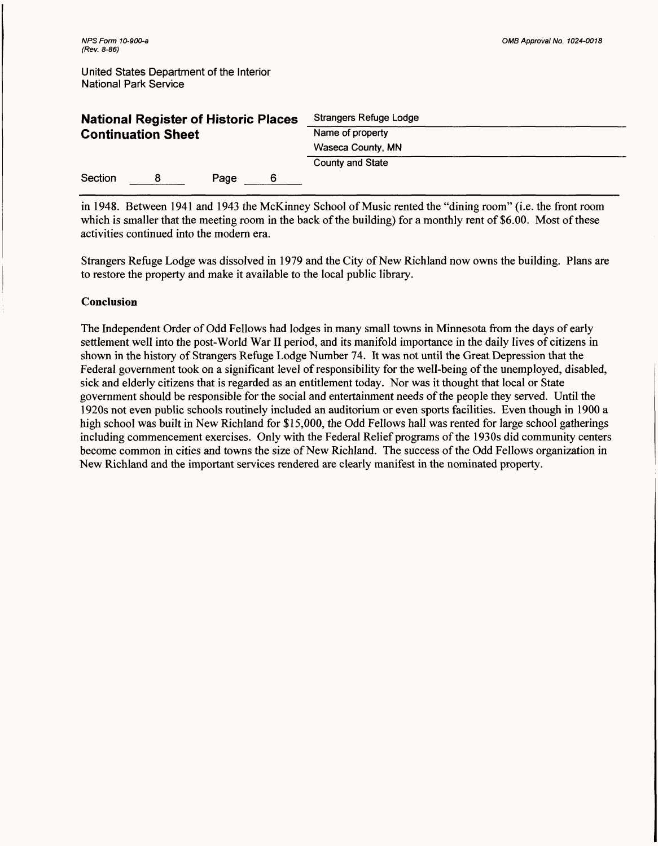| <b>National Register of Historic Places</b><br><b>Continuation Sheet</b> |  |      |   | Strangers Refuge Lodge<br>Name of property |  |  |
|--------------------------------------------------------------------------|--|------|---|--------------------------------------------|--|--|
|                                                                          |  |      |   |                                            |  |  |
|                                                                          |  |      |   | Waseca County, MN                          |  |  |
|                                                                          |  |      |   | County and State                           |  |  |
| Section                                                                  |  | Page | 6 |                                            |  |  |

in 1948. Between 1941 and 1943 the McKinney School of Music rented the "dining room" (i.e. the front room which is smaller that the meeting room in the back of the building) for a monthly rent of \$6.00. Most of these activities continued into the modern era.

Strangers Refuge Lodge was dissolved in 1979 and the City of New Richland now owns the building. Plans are to restore the property and make it available to the local public library.

## **Conclusion**

The Independent Order of Odd Fellows had lodges in many small towns in Minnesota from the days of early settlement well into the post-World War II period, and its manifold importance in the daily lives of citizens in shown in the history of Strangers Refuge Lodge Number 74. It was not until the Great Depression that the Federal government took on a significant level of responsibility for the well-being of the unemployed, disabled, sick and elderly citizens that is regarded as an entitlement today. Nor was it thought that local or State government should be responsible for the social and entertainment needs of the people they served. Until the 1920s not even public schools routinely included an auditorium or even sports facilities. Even though in 1900 a high school was built in New Richland for \$15,000, the Odd Fellows hall was rented for large school gatherings including commencement exercises. Only with the Federal Relief programs of the 1930s did community centers become common in cities and towns the size of New Richland. The success of the Odd Fellows organization in New Richland and the important services rendered are clearly manifest in the nominated property.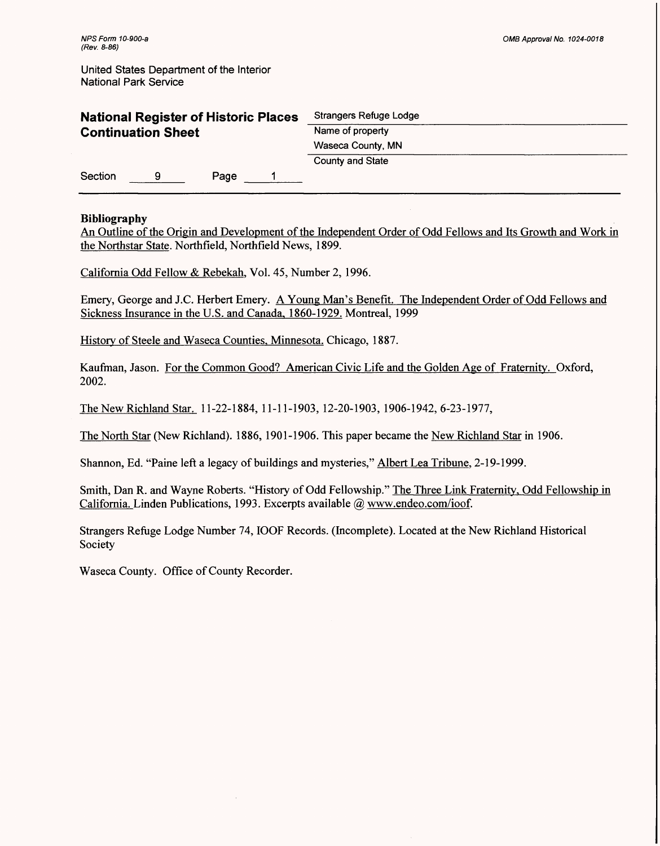| <b>National Register of Historic Places</b><br><b>Continuation Sheet</b> |   |      |  | Strangers Refuge Lodge<br>Name of property |  |  |
|--------------------------------------------------------------------------|---|------|--|--------------------------------------------|--|--|
|                                                                          |   |      |  |                                            |  |  |
|                                                                          |   |      |  | Waseca County, MN                          |  |  |
|                                                                          |   |      |  | County and State                           |  |  |
| Section                                                                  | 9 | Page |  |                                            |  |  |

## **Bibliography**

An Outline of the Origin and Development of the Independent Order of Odd Fellows and Its Growth and Work in the Northstar State. Northfield, Northfield News, 1899.

California Odd Fellow & Rebekah, Vol. 45, Number 2, 1996.

Emery, George and J.C. Herbert Emery. A Young Man's Benefit. The Independent Order of Odd Fellows and Sickness Insurance in the U.S. and Canada. 1860-1929. Montreal, 1999

History of Steele and Waseca Counties. Minnesota. Chicago. 1887.

Kaufman, Jason. For the Common Good? American Civic Life and the Golden Age of Fraternity. Oxford, 2002.

The New Richland Star. 11-22-1884, 11-11-1903, 12-20-1903, 1906-1942, 6-23-1977,

The North Star (New Richland). 1886, 1901-1906. This paper became the New Richland Star in 1906.

Shannon, Ed. "Paine left a legacy of buildings and mysteries," Albert Lea Tribune. 2-19-1999.

Smith, Dan R. and Wayne Roberts. "History of Odd Fellowship." The Three Link Fraternity, Odd Fellowship in California. Linden Publications, 1993. Excerpts available @ www.endeo.com/ioof.

Strangers Refuge Lodge Number 74, IOOF Records. (Incomplete). Located at the New Richland Historical Society

Waseca County. Office of County Recorder.